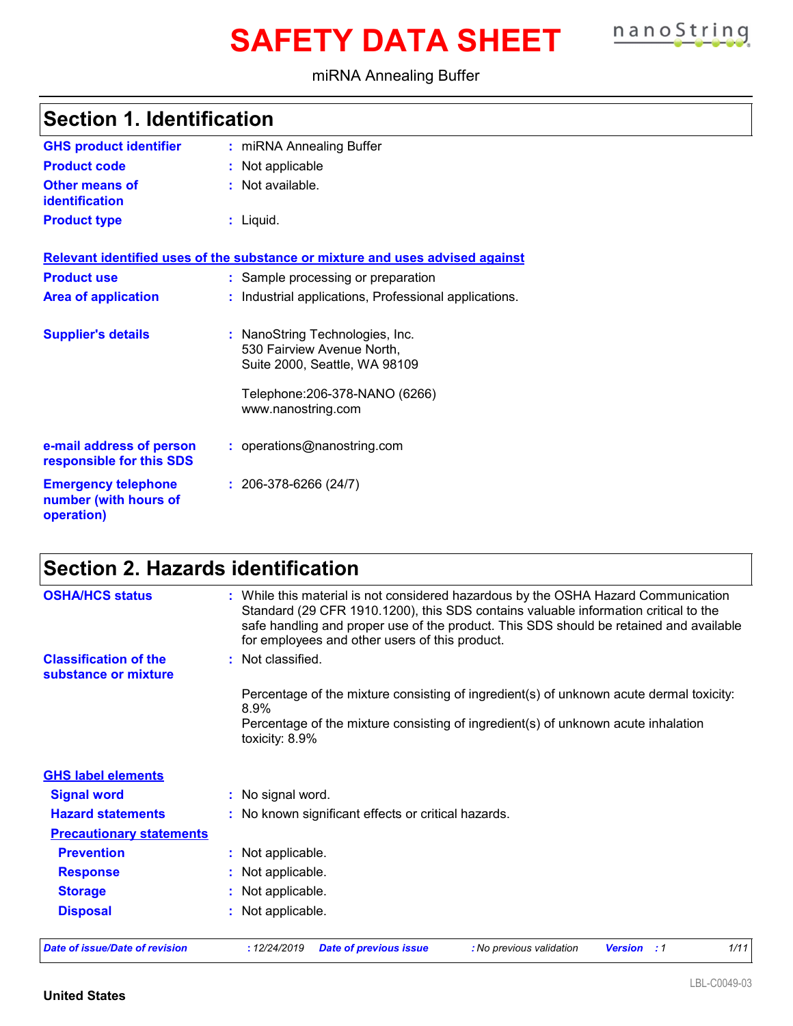# **SAFETY DATA SHEET nanoString**



### miRNA Annealing Buffer

| <b>Section 1. Identification</b>        |                          |  |
|-----------------------------------------|--------------------------|--|
| <b>GHS product identifier</b>           | : miRNA Annealing Buffer |  |
| <b>Product code</b>                     | : Not applicable         |  |
| <b>Other means of</b><br>identification | $:$ Not available.       |  |
| <b>Product type</b>                     | $:$ Liquid.              |  |

| Relevant identified uses of the substance or mixture and uses advised against |                                                                                                                                                        |  |  |  |
|-------------------------------------------------------------------------------|--------------------------------------------------------------------------------------------------------------------------------------------------------|--|--|--|
| <b>Product use</b>                                                            | : Sample processing or preparation                                                                                                                     |  |  |  |
| <b>Area of application</b>                                                    | : Industrial applications, Professional applications.                                                                                                  |  |  |  |
| <b>Supplier's details</b>                                                     | : NanoString Technologies, Inc.<br>530 Fairview Avenue North,<br>Suite 2000, Seattle, WA 98109<br>Telephone: 206-378-NANO (6266)<br>www.nanostring.com |  |  |  |
| e-mail address of person<br>responsible for this SDS                          | : operations@nanostring.com                                                                                                                            |  |  |  |
| <b>Emergency telephone</b><br>number (with hours of<br>operation)             | $: 206 - 378 - 6266(24/7)$                                                                                                                             |  |  |  |

# **Section 2. Hazards identification**

| <b>OSHA/HCS status</b>                               | : While this material is not considered hazardous by the OSHA Hazard Communication<br>Standard (29 CFR 1910.1200), this SDS contains valuable information critical to the<br>safe handling and proper use of the product. This SDS should be retained and available<br>for employees and other users of this product. |
|------------------------------------------------------|-----------------------------------------------------------------------------------------------------------------------------------------------------------------------------------------------------------------------------------------------------------------------------------------------------------------------|
| <b>Classification of the</b><br>substance or mixture | : Not classified.                                                                                                                                                                                                                                                                                                     |
|                                                      | Percentage of the mixture consisting of ingredient(s) of unknown acute dermal toxicity:<br>$8.9\%$                                                                                                                                                                                                                    |
|                                                      | Percentage of the mixture consisting of ingredient(s) of unknown acute inhalation<br>toxicity: 8.9%                                                                                                                                                                                                                   |
| <b>GHS label elements</b>                            |                                                                                                                                                                                                                                                                                                                       |
| <b>Signal word</b>                                   | : No signal word.                                                                                                                                                                                                                                                                                                     |
| <b>Hazard statements</b>                             | : No known significant effects or critical hazards.                                                                                                                                                                                                                                                                   |
| <b>Precautionary statements</b>                      |                                                                                                                                                                                                                                                                                                                       |
| <b>Prevention</b>                                    | : Not applicable.                                                                                                                                                                                                                                                                                                     |
| <b>Response</b>                                      | : Not applicable.                                                                                                                                                                                                                                                                                                     |
| <b>Storage</b>                                       | : Not applicable.                                                                                                                                                                                                                                                                                                     |
| <b>Disposal</b>                                      | : Not applicable.                                                                                                                                                                                                                                                                                                     |
| <b>Date of issue/Date of revision</b>                | 1/11<br>: 12/24/2019<br><b>Date of previous issue</b><br>: No previous validation<br><b>Version</b><br>: 1                                                                                                                                                                                                            |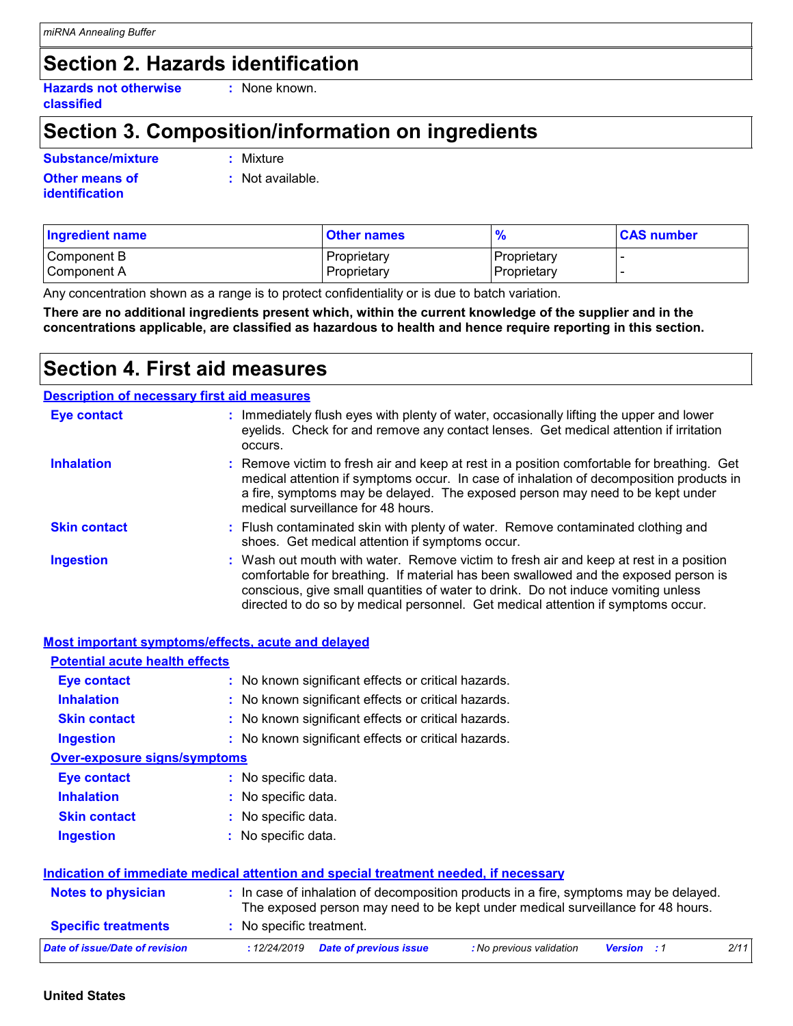# **Section 2. Hazards identification**

**Hazards not otherwise classified**

**:** None known.

# **Section 3. Composition/information on ingredients**

**Substance/mixture :** Mixture

**Other means of identification**

**:** Not available.

| <b>Ingredient name</b> | <b>Other names</b> | $\frac{1}{2}$       | <b>CAS number</b> |
|------------------------|--------------------|---------------------|-------------------|
| l Component B          | Proprietary        | I Proprietarv       |                   |
| l Component A          | Proprietary        | <b>IProprietarv</b> |                   |

Any concentration shown as a range is to protect confidentiality or is due to batch variation.

**There are no additional ingredients present which, within the current knowledge of the supplier and in the concentrations applicable, are classified as hazardous to health and hence require reporting in this section.**

### **Section 4. First aid measures**

### **Description of necessary first aid measures**

| <b>Eye contact</b>  | : Immediately flush eyes with plenty of water, occasionally lifting the upper and lower<br>eyelids. Check for and remove any contact lenses. Get medical attention if irritation<br>occurs.                                                                                                                                                            |
|---------------------|--------------------------------------------------------------------------------------------------------------------------------------------------------------------------------------------------------------------------------------------------------------------------------------------------------------------------------------------------------|
| <b>Inhalation</b>   | : Remove victim to fresh air and keep at rest in a position comfortable for breathing. Get<br>medical attention if symptoms occur. In case of inhalation of decomposition products in<br>a fire, symptoms may be delayed. The exposed person may need to be kept under<br>medical surveillance for 48 hours.                                           |
| <b>Skin contact</b> | : Flush contaminated skin with plenty of water. Remove contaminated clothing and<br>shoes. Get medical attention if symptoms occur.                                                                                                                                                                                                                    |
| <b>Ingestion</b>    | : Wash out mouth with water. Remove victim to fresh air and keep at rest in a position<br>comfortable for breathing. If material has been swallowed and the exposed person is<br>conscious, give small quantities of water to drink. Do not induce vomiting unless<br>directed to do so by medical personnel. Get medical attention if symptoms occur. |

|                                       | <b>Most important symptoms/effects, acute and delayed</b>                                                                                                                |
|---------------------------------------|--------------------------------------------------------------------------------------------------------------------------------------------------------------------------|
| <b>Potential acute health effects</b> |                                                                                                                                                                          |
| Eye contact                           | : No known significant effects or critical hazards.                                                                                                                      |
| <b>Inhalation</b>                     | : No known significant effects or critical hazards.                                                                                                                      |
| <b>Skin contact</b>                   | : No known significant effects or critical hazards.                                                                                                                      |
| <b>Ingestion</b>                      | : No known significant effects or critical hazards.                                                                                                                      |
| <b>Over-exposure signs/symptoms</b>   |                                                                                                                                                                          |
| <b>Eye contact</b>                    | : No specific data.                                                                                                                                                      |
| <b>Inhalation</b>                     | : No specific data.                                                                                                                                                      |
| <b>Skin contact</b>                   | : No specific data.                                                                                                                                                      |
| <b>Ingestion</b>                      | : No specific data.                                                                                                                                                      |
|                                       | Indication of immediate medical attention and special treatment needed, if necessary                                                                                     |
| <b>Notes to physician</b>             | : In case of inhalation of decomposition products in a fire, symptoms may be delayed.<br>The exposed person may need to be kept under medical surveillance for 48 hours. |
| <b>Specific treatments</b>            | : No specific treatment.                                                                                                                                                 |
| Date of issue/Date of revision        | 2/11<br>: 12/24/2019<br><b>Date of previous issue</b><br>: No previous validation<br>Version<br>:1                                                                       |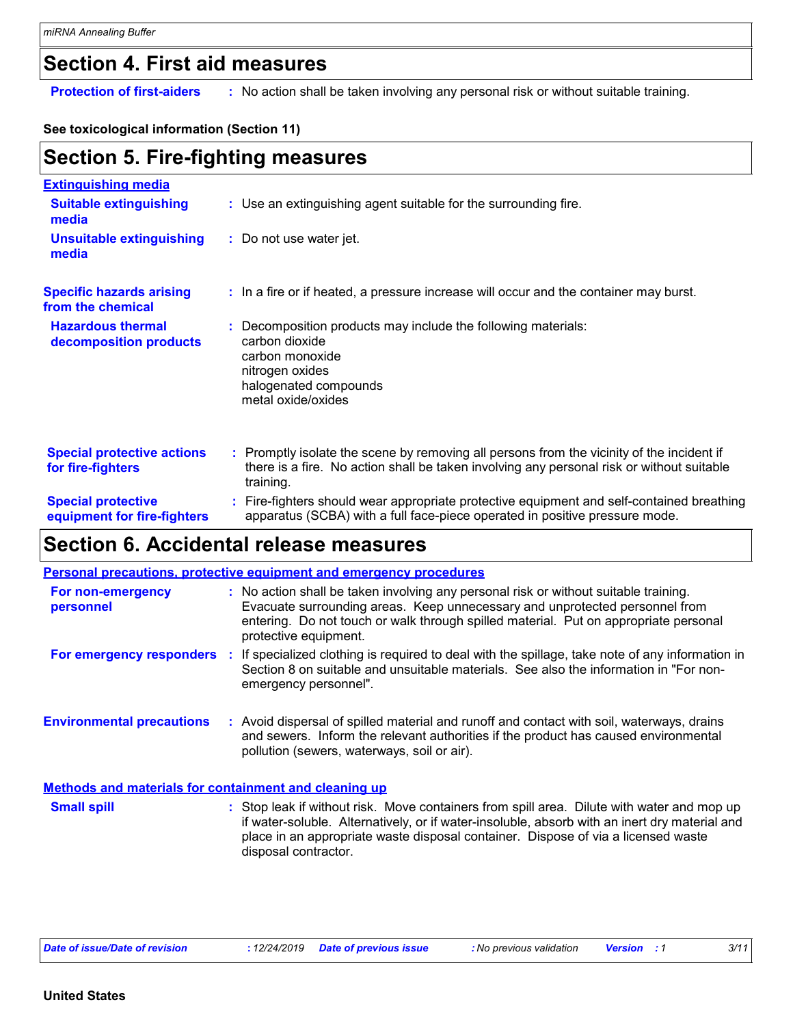### **Section 4. First aid measures**

**Protection of first-aiders** : No action shall be taken involving any personal risk or without suitable training.

### **See toxicological information (Section 11)**

| <b>Section 5. Fire-fighting measures</b>                 |                                                                                                                                                                                                     |  |
|----------------------------------------------------------|-----------------------------------------------------------------------------------------------------------------------------------------------------------------------------------------------------|--|
| <b>Extinguishing media</b>                               |                                                                                                                                                                                                     |  |
| <b>Suitable extinguishing</b><br>media                   | : Use an extinguishing agent suitable for the surrounding fire.                                                                                                                                     |  |
| <b>Unsuitable extinguishing</b><br>media                 | : Do not use water jet.                                                                                                                                                                             |  |
| <b>Specific hazards arising</b><br>from the chemical     | : In a fire or if heated, a pressure increase will occur and the container may burst.                                                                                                               |  |
| <b>Hazardous thermal</b><br>decomposition products       | Decomposition products may include the following materials:<br>carbon dioxide<br>carbon monoxide<br>nitrogen oxides<br>halogenated compounds<br>metal oxide/oxides                                  |  |
| <b>Special protective actions</b><br>for fire-fighters   | : Promptly isolate the scene by removing all persons from the vicinity of the incident if<br>there is a fire. No action shall be taken involving any personal risk or without suitable<br>training. |  |
| <b>Special protective</b><br>equipment for fire-fighters | : Fire-fighters should wear appropriate protective equipment and self-contained breathing<br>apparatus (SCBA) with a full face-piece operated in positive pressure mode.                            |  |

# **Section 6. Accidental release measures**

|                                                              | <b>Personal precautions, protective equipment and emergency procedures</b>                                                                                                                                                                                                                               |
|--------------------------------------------------------------|----------------------------------------------------------------------------------------------------------------------------------------------------------------------------------------------------------------------------------------------------------------------------------------------------------|
| For non-emergency<br>personnel                               | : No action shall be taken involving any personal risk or without suitable training.<br>Evacuate surrounding areas. Keep unnecessary and unprotected personnel from<br>entering. Do not touch or walk through spilled material. Put on appropriate personal<br>protective equipment.                     |
| For emergency responders                                     | : If specialized clothing is required to deal with the spillage, take note of any information in<br>Section 8 on suitable and unsuitable materials. See also the information in "For non-<br>emergency personnel".                                                                                       |
| <b>Environmental precautions</b>                             | : Avoid dispersal of spilled material and runoff and contact with soil, waterways, drains<br>and sewers. Inform the relevant authorities if the product has caused environmental<br>pollution (sewers, waterways, soil or air).                                                                          |
| <b>Methods and materials for containment and cleaning up</b> |                                                                                                                                                                                                                                                                                                          |
| <b>Small spill</b>                                           | : Stop leak if without risk. Move containers from spill area. Dilute with water and mop up<br>if water-soluble. Alternatively, or if water-insoluble, absorb with an inert dry material and<br>place in an appropriate waste disposal container. Dispose of via a licensed waste<br>disposal contractor. |

*Date of issue/Date of revision* **:** *12/24/2019 Date of previous issue : No previous validation Version : 1 3/11*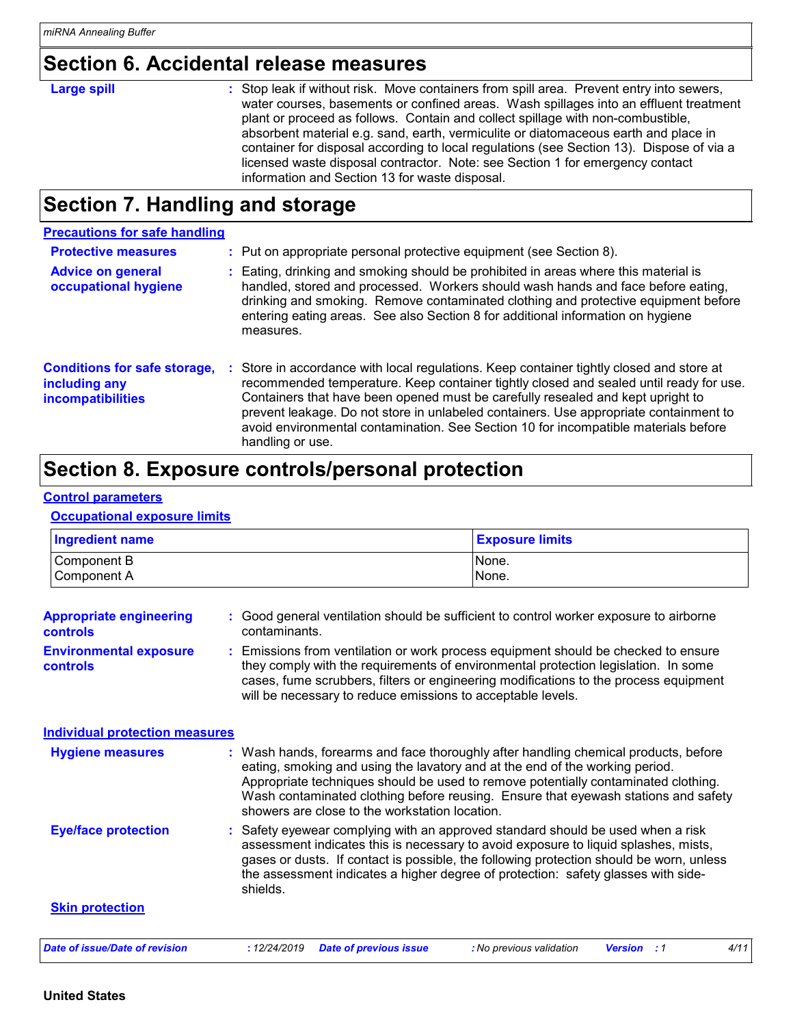### **Section 6. Accidental release measures**

### **Large spill :**

: Stop leak if without risk. Move containers from spill area. Prevent entry into sewers, water courses, basements or confined areas. Wash spillages into an effluent treatment plant or proceed as follows. Contain and collect spillage with non-combustible, absorbent material e.g. sand, earth, vermiculite or diatomaceous earth and place in container for disposal according to local regulations (see Section 13). Dispose of via a licensed waste disposal contractor. Note: see Section 1 for emergency contact information and Section 13 for waste disposal.

# **Section 7. Handling and storage**

| <b>Precautions for safe handling</b>                                             |    |                                                                                                                                                                                                                                                                                                                                                                                                                                                                         |
|----------------------------------------------------------------------------------|----|-------------------------------------------------------------------------------------------------------------------------------------------------------------------------------------------------------------------------------------------------------------------------------------------------------------------------------------------------------------------------------------------------------------------------------------------------------------------------|
| <b>Protective measures</b>                                                       |    | : Put on appropriate personal protective equipment (see Section 8).                                                                                                                                                                                                                                                                                                                                                                                                     |
| <b>Advice on general</b><br>occupational hygiene                                 |    | Eating, drinking and smoking should be prohibited in areas where this material is<br>handled, stored and processed. Workers should wash hands and face before eating,<br>drinking and smoking. Remove contaminated clothing and protective equipment before<br>entering eating areas. See also Section 8 for additional information on hygiene<br>measures.                                                                                                             |
| <b>Conditions for safe storage,</b><br>including any<br><b>incompatibilities</b> | ÷. | Store in accordance with local regulations. Keep container tightly closed and store at<br>recommended temperature. Keep container tightly closed and sealed until ready for use.<br>Containers that have been opened must be carefully resealed and kept upright to<br>prevent leakage. Do not store in unlabeled containers. Use appropriate containment to<br>avoid environmental contamination. See Section 10 for incompatible materials before<br>handling or use. |

# **Section 8. Exposure controls/personal protection**

#### **Control parameters**

### **Occupational exposure limits**

| <b>Ingredient name</b>                     |                                                             | <b>Exposure limits</b>                                                                                                                                                                                                                                                                                                                                 |
|--------------------------------------------|-------------------------------------------------------------|--------------------------------------------------------------------------------------------------------------------------------------------------------------------------------------------------------------------------------------------------------------------------------------------------------------------------------------------------------|
| Component B<br>Component A                 |                                                             | None.<br>None.                                                                                                                                                                                                                                                                                                                                         |
| <b>Appropriate engineering</b><br>controls | contaminants.                                               | : Good general ventilation should be sufficient to control worker exposure to airborne                                                                                                                                                                                                                                                                 |
| <b>Environmental exposure</b><br>controls  | will be necessary to reduce emissions to acceptable levels. | : Emissions from ventilation or work process equipment should be checked to ensure<br>they comply with the requirements of environmental protection legislation. In some<br>cases, fume scrubbers, filters or engineering modifications to the process equipment                                                                                       |
| <b>Individual protection measures</b>      |                                                             |                                                                                                                                                                                                                                                                                                                                                        |
| <b>Hygiene measures</b>                    | showers are close to the workstation location.              | : Wash hands, forearms and face thoroughly after handling chemical products, before<br>eating, smoking and using the lavatory and at the end of the working period.<br>Appropriate techniques should be used to remove potentially contaminated clothing.<br>Wash contaminated clothing before reusing. Ensure that eyewash stations and safety        |
| <b>Eye/face protection</b>                 | shields.                                                    | : Safety eyewear complying with an approved standard should be used when a risk<br>assessment indicates this is necessary to avoid exposure to liquid splashes, mists,<br>gases or dusts. If contact is possible, the following protection should be worn, unless<br>the assessment indicates a higher degree of protection: safety glasses with side- |
| <b>Skin protection</b>                     |                                                             |                                                                                                                                                                                                                                                                                                                                                        |
| <b>Date of issue/Date of revision</b>      | : 12/24/2019<br><b>Date of previous issue</b>               | 4/11<br>: No previous validation<br><b>Version</b> : 1                                                                                                                                                                                                                                                                                                 |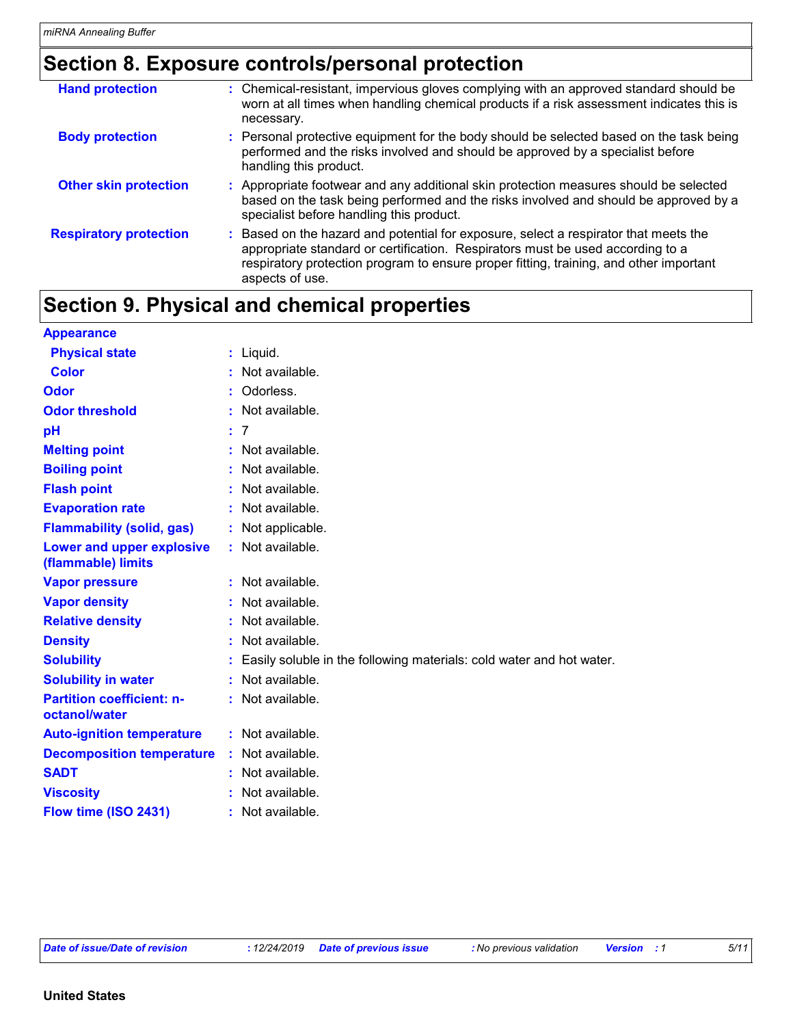# **Section 8. Exposure controls/personal protection**

| <b>Hand protection</b>        | : Chemical-resistant, impervious gloves complying with an approved standard should be<br>worn at all times when handling chemical products if a risk assessment indicates this is<br>necessary.                                                                                     |
|-------------------------------|-------------------------------------------------------------------------------------------------------------------------------------------------------------------------------------------------------------------------------------------------------------------------------------|
| <b>Body protection</b>        | : Personal protective equipment for the body should be selected based on the task being<br>performed and the risks involved and should be approved by a specialist before<br>handling this product.                                                                                 |
| <b>Other skin protection</b>  | : Appropriate footwear and any additional skin protection measures should be selected<br>based on the task being performed and the risks involved and should be approved by a<br>specialist before handling this product.                                                           |
| <b>Respiratory protection</b> | : Based on the hazard and potential for exposure, select a respirator that meets the<br>appropriate standard or certification. Respirators must be used according to a<br>respiratory protection program to ensure proper fitting, training, and other important<br>aspects of use. |

# **Section 9. Physical and chemical properties**

| <b>Appearance</b>                                 |                                                                        |
|---------------------------------------------------|------------------------------------------------------------------------|
| <b>Physical state</b>                             | : Liquid.                                                              |
| <b>Color</b>                                      | : Not available.                                                       |
| <b>Odor</b>                                       | : Odorless.                                                            |
| <b>Odor threshold</b>                             | : Not available.                                                       |
| рH                                                | : 7                                                                    |
| <b>Melting point</b>                              | : Not available.                                                       |
| <b>Boiling point</b>                              | : Not available.                                                       |
| <b>Flash point</b>                                | : Not available.                                                       |
| <b>Evaporation rate</b>                           | : Not available.                                                       |
| <b>Flammability (solid, gas)</b>                  | : Not applicable.                                                      |
| Lower and upper explosive<br>(flammable) limits   | : Not available.                                                       |
| <b>Vapor pressure</b>                             | : Not available.                                                       |
| <b>Vapor density</b>                              | : Not available.                                                       |
| <b>Relative density</b>                           | : Not available.                                                       |
| <b>Density</b>                                    | : Not available.                                                       |
| <b>Solubility</b>                                 | : Easily soluble in the following materials: cold water and hot water. |
| <b>Solubility in water</b>                        | : Not available.                                                       |
| <b>Partition coefficient: n-</b><br>octanol/water | : Not available.                                                       |
| <b>Auto-ignition temperature</b>                  | : Not available.                                                       |
| <b>Decomposition temperature</b>                  | : Not available.                                                       |
| <b>SADT</b>                                       | : Not available.                                                       |
| <b>Viscosity</b>                                  | Not available.                                                         |
| Flow time (ISO 2431)                              | : Not available.                                                       |

*Date of issue/Date of revision* **:** *12/24/2019 Date of previous issue : No previous validation Version : 1 5/11*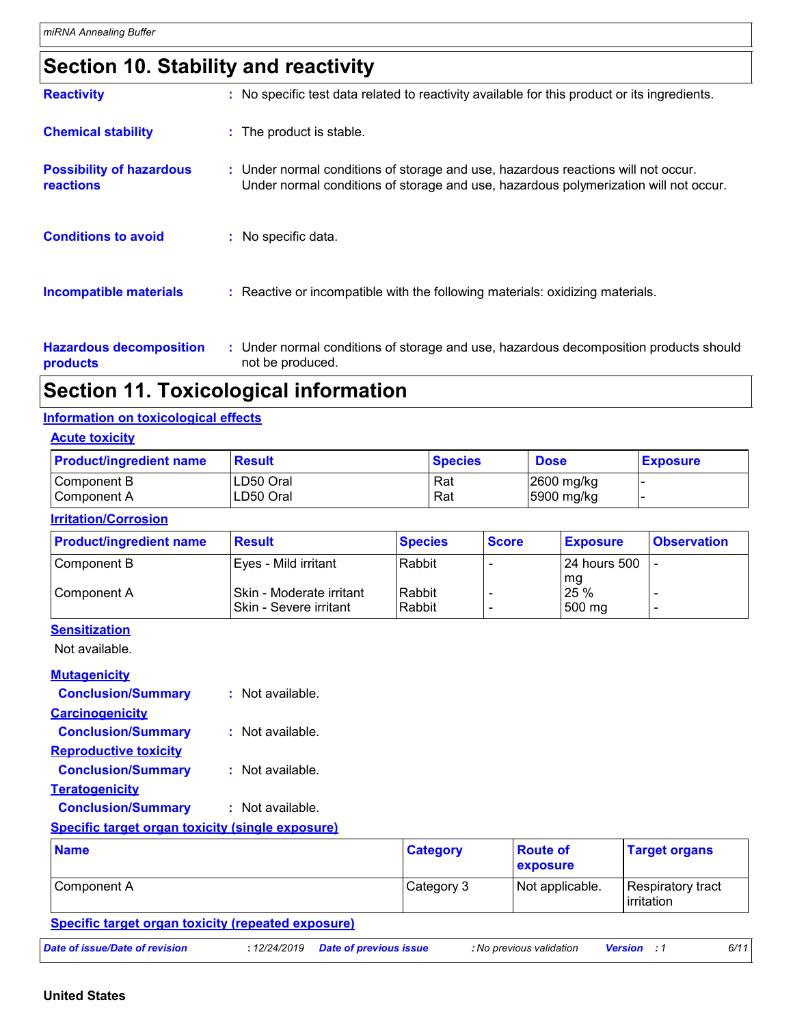# **Section 10. Stability and reactivity**

| <b>Reactivity</b>                                 | : No specific test data related to reactivity available for this product or its ingredients.                                                                              |
|---------------------------------------------------|---------------------------------------------------------------------------------------------------------------------------------------------------------------------------|
| <b>Chemical stability</b>                         | : The product is stable.                                                                                                                                                  |
| <b>Possibility of hazardous</b><br>reactions      | : Under normal conditions of storage and use, hazardous reactions will not occur.<br>Under normal conditions of storage and use, hazardous polymerization will not occur. |
| <b>Conditions to avoid</b>                        | : No specific data.                                                                                                                                                       |
| <b>Incompatible materials</b>                     | : Reactive or incompatible with the following materials: oxidizing materials.                                                                                             |
| <b>Hazardous decomposition</b><br><b>products</b> | : Under normal conditions of storage and use, hazardous decomposition products should<br>not be produced.                                                                 |

# **Section 11. Toxicological information**

### **Information on toxicological effects**

### **Acute toxicity**

| <b>Product/ingredient name</b> | Result     | <b>Species</b> | <b>Dose</b> | <b>Exposure</b> |
|--------------------------------|------------|----------------|-------------|-----------------|
| Component B                    | ILD50 Oral | Rat            | 2600 mg/kg  |                 |
| Component A                    | LD50 Oral  | Rat            | 5900 mg/kg  |                 |

### **Irritation/Corrosion**

| <b>Product/ingredient name</b> | <b>Result</b>            | <b>Species</b> | <b>Score</b> | <b>Exposure</b> | <b>Observation</b> |
|--------------------------------|--------------------------|----------------|--------------|-----------------|--------------------|
| Component B                    | Eyes - Mild irritant     | Rabbit         |              | l 24 hours 500  |                    |
|                                |                          |                |              | mg              |                    |
| Component A                    | Skin - Moderate irritant | Rabbit         |              | 25 %            |                    |
|                                | Skin - Severe irritant   | l Rabbit       |              | 500 mg          | -                  |

### **Sensitization**

Not available.

| <b>Mutagenicity</b>                                     |                    |
|---------------------------------------------------------|--------------------|
| <b>Conclusion/Summary</b>                               | $:$ Not available. |
| <b>Carcinogenicity</b>                                  |                    |
| <b>Conclusion/Summary</b>                               | $:$ Not available. |
| <b>Reproductive toxicity</b>                            |                    |
| <b>Conclusion/Summary</b>                               | : Not available.   |
| <b>Teratogenicity</b>                                   |                    |
| <b>Conclusion/Summary</b>                               | $:$ Not available. |
| <b>Specific target organ toxicity (single exposure)</b> |                    |

| <b>Name</b>                                               | <b>Category</b> | <b>Route of</b><br><b>exposure</b> | <b>Target organs</b>            |
|-----------------------------------------------------------|-----------------|------------------------------------|---------------------------------|
| Component A                                               | Category 3      | Not applicable.                    | Respiratory tract<br>irritation |
| <b>Specific target organ toxicity (repeated exposure)</b> |                 |                                    |                                 |

### *Date of issue/Date of revision* **:** *12/24/2019 Date of previous issue : No previous validation Version : 1 6/11*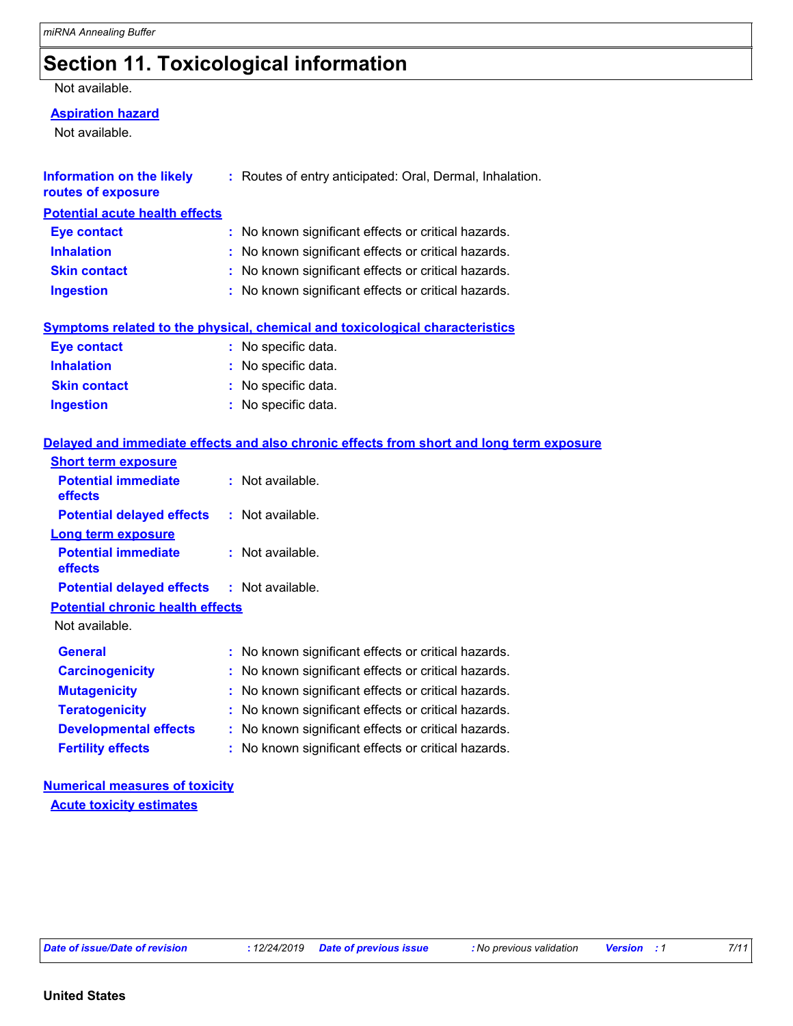# **Section 11. Toxicological information**

Not available.

#### **Aspiration hazard**

Not available.

| <b>Information on the likely</b><br>routes of exposure | : Routes of entry anticipated: Oral, Dermal, Inhalation.                                 |
|--------------------------------------------------------|------------------------------------------------------------------------------------------|
| <b>Potential acute health effects</b>                  |                                                                                          |
| <b>Eye contact</b>                                     | : No known significant effects or critical hazards.                                      |
| <b>Inhalation</b>                                      | : No known significant effects or critical hazards.                                      |
| <b>Skin contact</b>                                    | : No known significant effects or critical hazards.                                      |
| <b>Ingestion</b>                                       | : No known significant effects or critical hazards.                                      |
|                                                        | <b>Symptoms related to the physical, chemical and toxicological characteristics</b>      |
| <b>Eye contact</b>                                     | : No specific data.                                                                      |
| <b>Inhalation</b>                                      | : No specific data.                                                                      |
| <b>Skin contact</b>                                    | : No specific data.                                                                      |
| <b>Ingestion</b>                                       | : No specific data.                                                                      |
|                                                        | Delayed and immediate effects and also chronic effects from short and long term exposure |
| <b>Short term exposure</b>                             |                                                                                          |
| <b>Potential immediate</b><br>effects                  | : Not available.                                                                         |
| <b>Potential delayed effects</b>                       | : Not available.                                                                         |
| <b>Long term exposure</b>                              |                                                                                          |
| <b>Potential immediate</b><br>effects                  | : Not available.                                                                         |
| <b>Potential delayed effects</b>                       | $:$ Not available.                                                                       |
| <b>Potential chronic health effects</b>                |                                                                                          |
| Not available.                                         |                                                                                          |
| <b>General</b>                                         | : No known significant effects or critical hazards.                                      |
| <b>Carcinogenicity</b>                                 | : No known significant effects or critical hazards.                                      |
| <b>Mutagenicity</b>                                    | No known significant effects or critical hazards.                                        |
| <b>Teratogenicity</b>                                  | : No known significant effects or critical hazards.                                      |
| <b>Developmental effects</b>                           | : No known significant effects or critical hazards.                                      |
| <b>Fertility effects</b>                               | : No known significant effects or critical hazards.                                      |
|                                                        |                                                                                          |

### **Numerical measures of toxicity Acute toxicity estimates**

*Date of issue/Date of revision* **:** *12/24/2019 Date of previous issue : No previous validation Version : 1 7/11*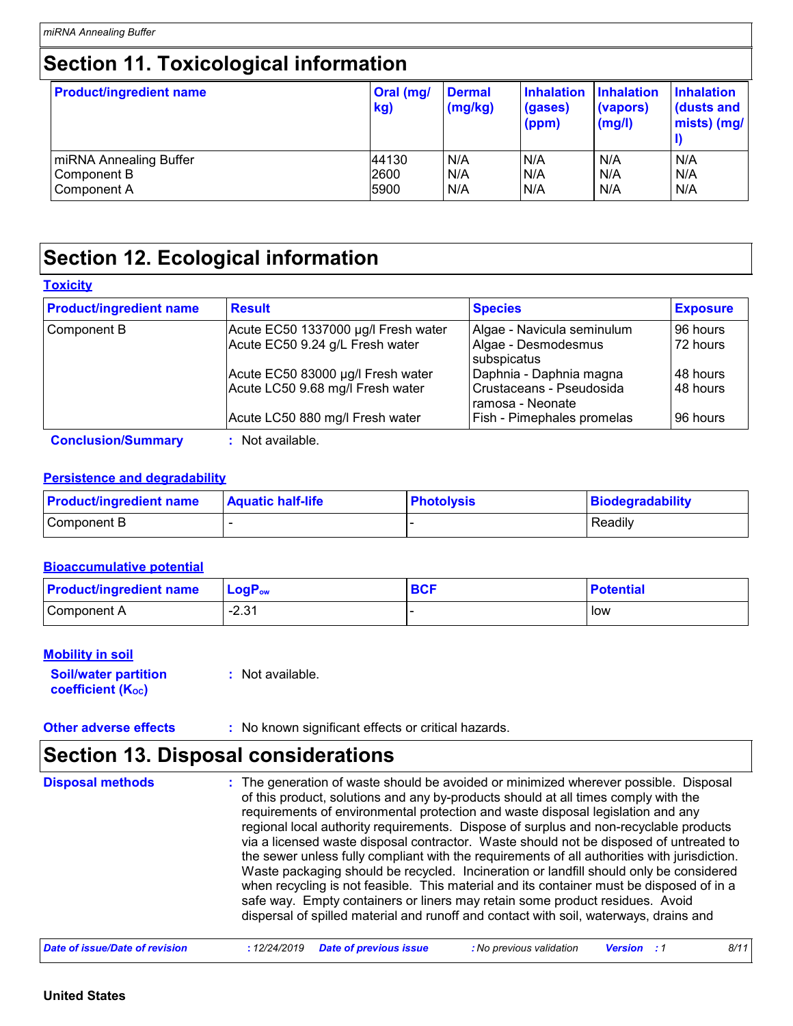# **Section 11. Toxicological information**

| <b>Product/ingredient name</b> | Oral (mg/<br>kg) | Dermal<br>(mg/kg) | <b>Inhalation</b><br>(gases)<br>(ppm) | <b>Inhalation</b><br>(vapors)<br>(mg/l) | <b>Inhalation</b><br>dusts and<br>mists) (mg/ |
|--------------------------------|------------------|-------------------|---------------------------------------|-----------------------------------------|-----------------------------------------------|
| miRNA Annealing Buffer         | 44130            | N/A               | IN/A                                  | N/A                                     | N/A                                           |
| Component B                    | 2600             | N/A               | N/A                                   | N/A                                     | N/A                                           |
| Component A                    | 5900             | N/A               | N/A                                   | N/A                                     | N/A                                           |

# **Section 12. Ecological information**

| <b>Product/ingredient name</b> | <b>Result</b>                       | <b>Species</b>                                | <b>Exposure</b> |
|--------------------------------|-------------------------------------|-----------------------------------------------|-----------------|
| Component B                    | Acute EC50 1337000 µg/l Fresh water | Algae - Navicula seminulum                    | 96 hours        |
|                                | Acute EC50 9.24 g/L Fresh water     | Algae - Desmodesmus<br>subspicatus            | 72 hours        |
|                                | Acute EC50 83000 µg/l Fresh water   | Daphnia - Daphnia magna                       | 48 hours        |
|                                | Acute LC50 9.68 mg/l Fresh water    | Crustaceans - Pseudosida<br>Iramosa - Neonate | 48 hours        |
|                                | Acute LC50 880 mg/l Fresh water     | Fish - Pimephales promelas                    | 96 hours        |
| <b>Conclusion/Summary</b>      | : Not available.                    |                                               |                 |

### **Persistence and degradability**

| <b>Product/ingredient name</b> | <b>Aquatic half-life</b> | <b>Photolysis</b> | Biodegradability |
|--------------------------------|--------------------------|-------------------|------------------|
| Component B                    |                          |                   | Readily          |

### **Bioaccumulative potential**

| <b>Product/ingredient name</b> | $\mathsf{LogP}_\mathsf{ow}$ | <b>BCI</b> | <b>Potential</b> |
|--------------------------------|-----------------------------|------------|------------------|
| l Component A                  | ົດ ລ4<br>ـد.∠-              |            | low              |

### **Mobility in soil**

**Soil/water partition coefficient (K**<sub>oc</sub>)

**:** Not available.

### **Other adverse effects** : No known significant effects or critical hazards.

# **Section 13. Disposal considerations**

| <b>Disposal methods</b> | : The generation of waste should be avoided or minimized wherever possible. Disposal<br>of this product, solutions and any by-products should at all times comply with the<br>requirements of environmental protection and waste disposal legislation and any<br>regional local authority requirements. Dispose of surplus and non-recyclable products<br>via a licensed waste disposal contractor. Waste should not be disposed of untreated to<br>the sewer unless fully compliant with the requirements of all authorities with jurisdiction.<br>Waste packaging should be recycled. Incineration or landfill should only be considered<br>when recycling is not feasible. This material and its container must be disposed of in a<br>safe way. Empty containers or liners may retain some product residues. Avoid<br>dispersal of spilled material and runoff and contact with soil, waterways, drains and |
|-------------------------|-----------------------------------------------------------------------------------------------------------------------------------------------------------------------------------------------------------------------------------------------------------------------------------------------------------------------------------------------------------------------------------------------------------------------------------------------------------------------------------------------------------------------------------------------------------------------------------------------------------------------------------------------------------------------------------------------------------------------------------------------------------------------------------------------------------------------------------------------------------------------------------------------------------------|
|-------------------------|-----------------------------------------------------------------------------------------------------------------------------------------------------------------------------------------------------------------------------------------------------------------------------------------------------------------------------------------------------------------------------------------------------------------------------------------------------------------------------------------------------------------------------------------------------------------------------------------------------------------------------------------------------------------------------------------------------------------------------------------------------------------------------------------------------------------------------------------------------------------------------------------------------------------|

| Date of issue/Date of revision | : 12/24/2019 Date of previous issue | : No previous validation | <b>Version</b> : 1 | 8/11 |  |
|--------------------------------|-------------------------------------|--------------------------|--------------------|------|--|
|--------------------------------|-------------------------------------|--------------------------|--------------------|------|--|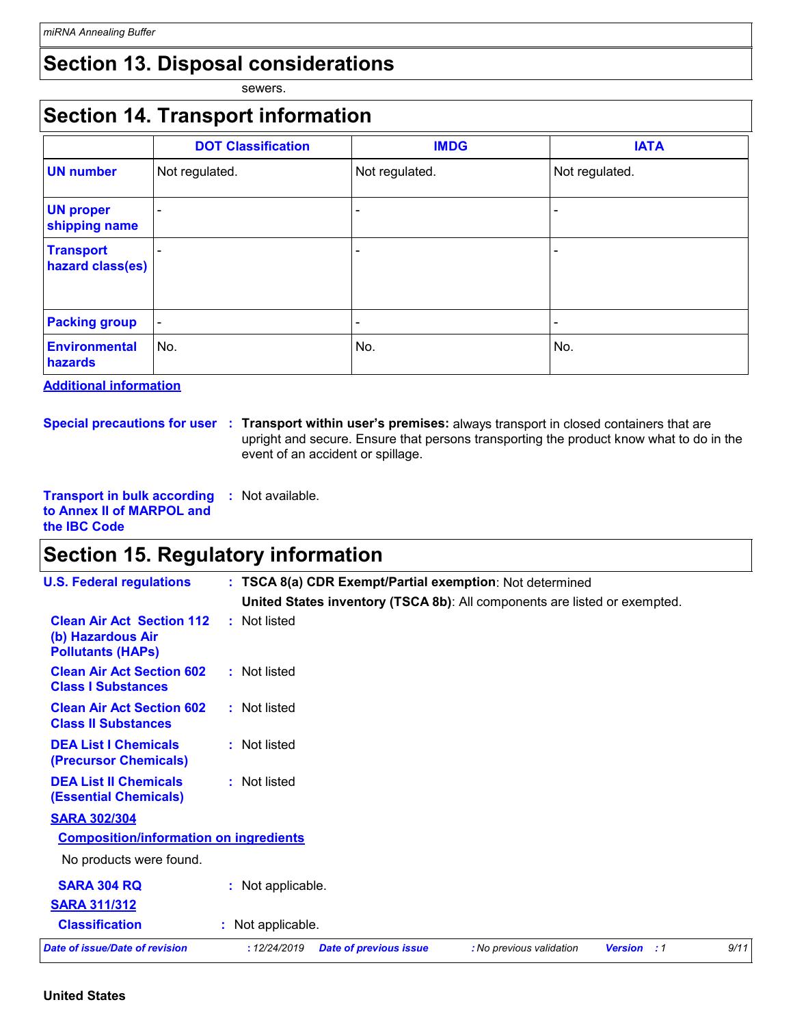# **Section 13. Disposal considerations**

sewers.

# **Section 14. Transport information**

|                                      | <b>DOT Classification</b> | <b>IMDG</b>              | <b>IATA</b>              |
|--------------------------------------|---------------------------|--------------------------|--------------------------|
| <b>UN number</b>                     | Not regulated.            | Not regulated.           | Not regulated.           |
| <b>UN proper</b><br>shipping name    | $\overline{\phantom{0}}$  | ٠                        |                          |
| <b>Transport</b><br>hazard class(es) |                           |                          |                          |
| <b>Packing group</b>                 | $\overline{\phantom{a}}$  | $\overline{\phantom{a}}$ | $\overline{\phantom{0}}$ |
| <b>Environmental</b><br>hazards      | No.                       | No.                      | No.                      |

**Additional information**

### **Special precautions for user Transport within user's premises:** always transport in closed containers that are **:** upright and secure. Ensure that persons transporting the product know what to do in the event of an accident or spillage.

**Transport in bulk according to Annex II of MARPOL and the IBC Code :** Not available.

### **Section 15. Regulatory information**

| <b>U.S. Federal regulations</b>                                                   | : TSCA 8(a) CDR Exempt/Partial exemption: Not determined                                                |
|-----------------------------------------------------------------------------------|---------------------------------------------------------------------------------------------------------|
|                                                                                   | United States inventory (TSCA 8b): All components are listed or exempted.                               |
| <b>Clean Air Act Section 112</b><br>(b) Hazardous Air<br><b>Pollutants (HAPS)</b> | : Not listed                                                                                            |
| <b>Clean Air Act Section 602</b><br><b>Class I Substances</b>                     | : Not listed                                                                                            |
| <b>Clean Air Act Section 602</b><br><b>Class II Substances</b>                    | : Not listed                                                                                            |
| <b>DEA List I Chemicals</b><br><b>(Precursor Chemicals)</b>                       | : Not listed                                                                                            |
| <b>DEA List II Chemicals</b><br><b>(Essential Chemicals)</b>                      | : Not listed                                                                                            |
| <b>SARA 302/304</b>                                                               |                                                                                                         |
| <b>Composition/information on ingredients</b>                                     |                                                                                                         |
| No products were found.                                                           |                                                                                                         |
| <b>SARA 304 RQ</b>                                                                | : Not applicable.                                                                                       |
| <b>SARA 311/312</b>                                                               |                                                                                                         |
| <b>Classification</b>                                                             | : Not applicable.                                                                                       |
| Date of issue/Date of revision                                                    | 9/11<br>: 12/24/2019<br><b>Date of previous issue</b><br>: No previous validation<br><b>Version</b> : 1 |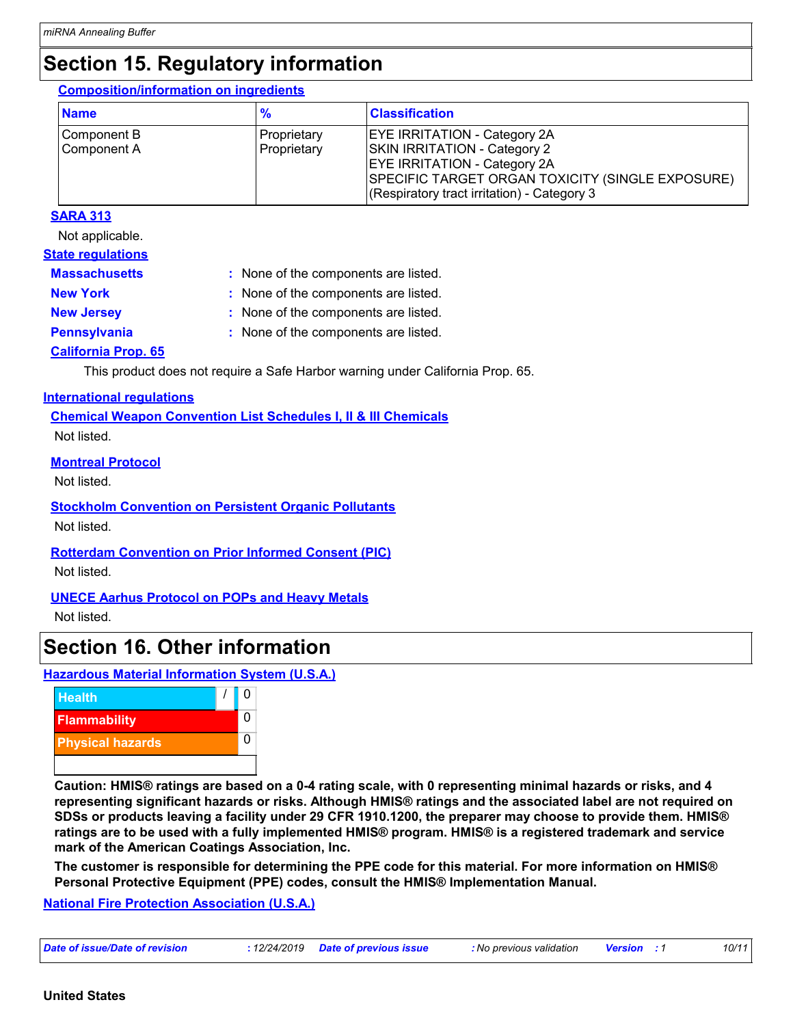# **Section 15. Regulatory information**

### **Composition/information on ingredients**

| <b>Name</b>                | $\frac{9}{6}$              | <b>Classification</b>                                                                                                                                                                                                |
|----------------------------|----------------------------|----------------------------------------------------------------------------------------------------------------------------------------------------------------------------------------------------------------------|
| Component B<br>Component A | Proprietary<br>Proprietary | <b>EYE IRRITATION - Category 2A</b><br><b>SKIN IRRITATION - Category 2</b><br><b>EYE IRRITATION - Category 2A</b><br>SPECIFIC TARGET ORGAN TOXICITY (SINGLE EXPOSURE)<br>(Respiratory tract irritation) - Category 3 |

### **SARA 313**

Not applicable.

### **State regulations**

| <b>Massachusetts</b>       | : None of the components are listed. |
|----------------------------|--------------------------------------|
| <b>New York</b>            | : None of the components are listed. |
| <b>New Jersey</b>          | : None of the components are listed. |
| <b>Pennsylvania</b>        | : None of the components are listed. |
| <b>California Prop. 65</b> |                                      |

This product does not require a Safe Harbor warning under California Prop. 65.

### **International regulations**

**Chemical Weapon Convention List Schedules I, II & III Chemicals** Not listed.

### **Montreal Protocol**

Not listed.

### **Stockholm Convention on Persistent Organic Pollutants**

Not listed.

### **Rotterdam Convention on Prior Informed Consent (PIC)**

Not listed.

### **UNECE Aarhus Protocol on POPs and Heavy Metals**

Not listed.

### **Section 16. Other information**

**Hazardous Material Information System (U.S.A.)**



**Caution: HMIS® ratings are based on a 0-4 rating scale, with 0 representing minimal hazards or risks, and 4 representing significant hazards or risks. Although HMIS® ratings and the associated label are not required on SDSs or products leaving a facility under 29 CFR 1910.1200, the preparer may choose to provide them. HMIS® ratings are to be used with a fully implemented HMIS® program. HMIS® is a registered trademark and service mark of the American Coatings Association, Inc.**

**The customer is responsible for determining the PPE code for this material. For more information on HMIS® Personal Protective Equipment (PPE) codes, consult the HMIS® Implementation Manual.**

### **National Fire Protection Association (U.S.A.)**

| 10/11<br>Date of issue/Date of revision<br>12/24/2019<br>Date of previous issue<br>: No previous validation<br><b>Version</b> |
|-------------------------------------------------------------------------------------------------------------------------------|
|-------------------------------------------------------------------------------------------------------------------------------|